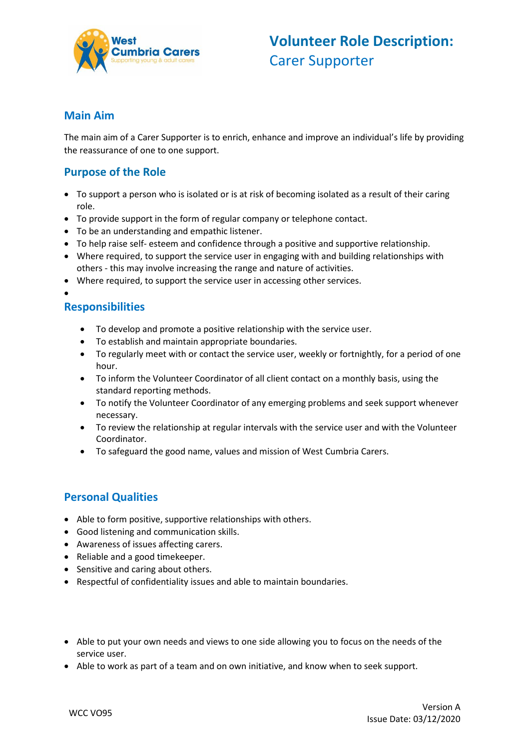

#### **Main Aim**

The main aim of a Carer Supporter is to enrich, enhance and improve an individual's life by providing the reassurance of one to one support.

### **Purpose of the Role**

- To support a person who is isolated or is at risk of becoming isolated as a result of their caring role.
- To provide support in the form of regular company or telephone contact.
- To be an understanding and empathic listener.
- To help raise self- esteem and confidence through a positive and supportive relationship.
- Where required, to support the service user in engaging with and building relationships with others - this may involve increasing the range and nature of activities.
- Where required, to support the service user in accessing other services.
- $\bullet$

### **Responsibilities**

- To develop and promote a positive relationship with the service user.
- To establish and maintain appropriate boundaries.
- To regularly meet with or contact the service user, weekly or fortnightly, for a period of one hour.
- To inform the Volunteer Coordinator of all client contact on a monthly basis, using the standard reporting methods.
- To notify the Volunteer Coordinator of any emerging problems and seek support whenever necessary.
- To review the relationship at regular intervals with the service user and with the Volunteer Coordinator.
- To safeguard the good name, values and mission of West Cumbria Carers.

#### **Personal Qualities**

- Able to form positive, supportive relationships with others.
- Good listening and communication skills.
- Awareness of issues affecting carers.
- Reliable and a good timekeeper.
- Sensitive and caring about others.
- Respectful of confidentiality issues and able to maintain boundaries.
- Able to put your own needs and views to one side allowing you to focus on the needs of the service user.
- Able to work as part of a team and on own initiative, and know when to seek support.